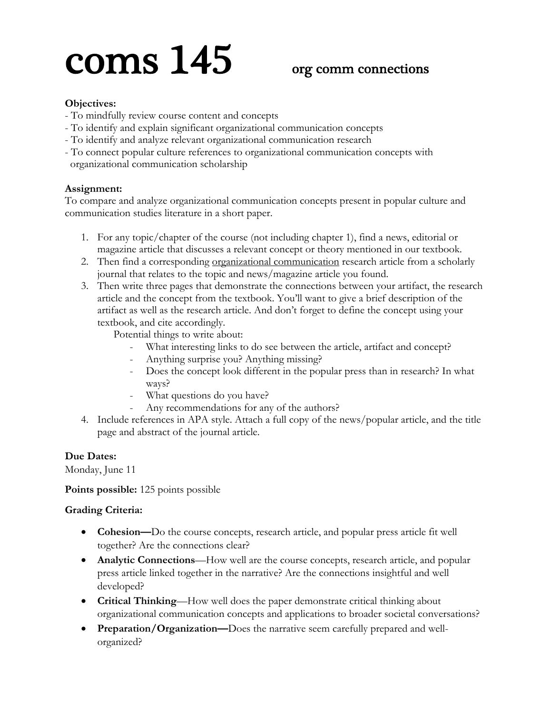# coms  $145$  org comm connections

# **Objectives:**

- To mindfully review course content and concepts
- To identify and explain significant organizational communication concepts
- To identify and analyze relevant organizational communication research
- To connect popular culture references to organizational communication concepts with organizational communication scholarship

### **Assignment:**

To compare and analyze organizational communication concepts present in popular culture and communication studies literature in a short paper.

- 1. For any topic/chapter of the course (not including chapter 1), find a news, editorial or magazine article that discusses a relevant concept or theory mentioned in our textbook.
- 2. Then find a corresponding organizational communication research article from a scholarly journal that relates to the topic and news/magazine article you found.
- 3. Then write three pages that demonstrate the connections between your artifact, the research article and the concept from the textbook. You'll want to give a brief description of the artifact as well as the research article. And don't forget to define the concept using your textbook, and cite accordingly.

Potential things to write about:

- What interesting links to do see between the article, artifact and concept?
- Anything surprise you? Anything missing?
- Does the concept look different in the popular press than in research? In what ways?
- What questions do you have?
- Any recommendations for any of the authors?
- 4. Include references in APA style. Attach a full copy of the news/popular article, and the title page and abstract of the journal article.

# **Due Dates:**

Monday, June 11

**Points possible:** 125 points possible

### **Grading Criteria:**

- **Cohesion—**Do the course concepts, research article, and popular press article fit well together? Are the connections clear?
- **Analytic Connections**—How well are the course concepts, research article, and popular press article linked together in the narrative? Are the connections insightful and well developed?
- **Critical Thinking**—How well does the paper demonstrate critical thinking about organizational communication concepts and applications to broader societal conversations?
- **Preparation/Organization—**Does the narrative seem carefully prepared and wellorganized?